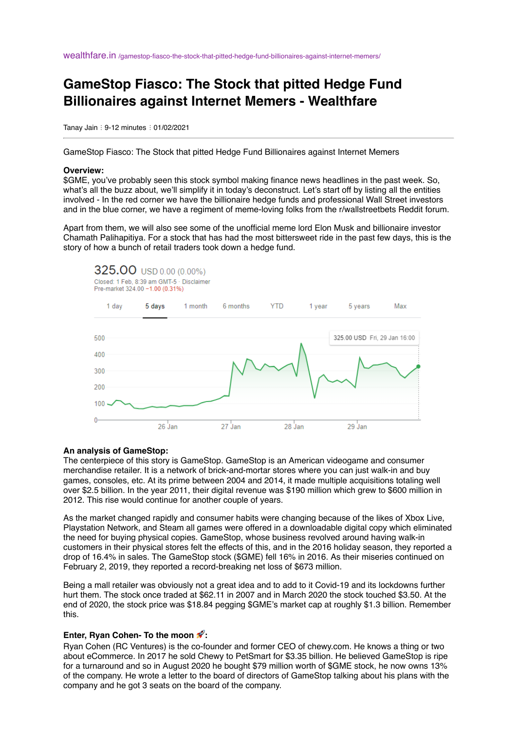wealthfare.in [/gamestop-fiasco-the-stock-that-pitted-hedge-fund-billionaires-against-internet-memers/](https://wealthfare.in/gamestop-fiasco-the-stock-that-pitted-hedge-fund-billionaires-against-internet-memers/)

# **GameStop Fiasco: The Stock that pitted Hedge Fund Billionaires against Internet Memers - Wealthfare**

Tanay Jain : 9-12 minutes : 01/02/2021

GameStop Fiasco: The Stock that pitted Hedge Fund Billionaires against Internet Memers

#### **Overview:**

\$GME, you've probably seen this stock symbol making finance news headlines in the past week. So, what's all the buzz about, we'll simplify it in today's deconstruct. Let's start off by listing all the entities involved - In the red corner we have the billionaire hedge funds and professional Wall Street investors and in the blue corner, we have a regiment of meme-loving folks from the r/wallstreetbets Reddit forum.

Apart from them, we will also see some of the unofficial meme lord Elon Musk and billionaire investor Chamath Palihapitiya. For a stock that has had the most bittersweet ride in the past few days, this is the story of how a bunch of retail traders took down a hedge fund.



### **An analysis of GameStop:**

The centerpiece of this story is GameStop. GameStop is an American videogame and consumer merchandise retailer. It is a network of brick-and-mortar stores where you can just walk-in and buy games, consoles, etc. At its prime between 2004 and 2014, it made multiple acquisitions totaling well over \$2.5 billion. In the year 2011, their digital revenue was \$190 million which grew to \$600 million in 2012. This rise would continue for another couple of years.

As the market changed rapidly and consumer habits were changing because of the likes of Xbox Live, Playstation Network, and Steam all games were offered in a downloadable digital copy which eliminated the need for buying physical copies. GameStop, whose business revolved around having walk-in customers in their physical stores felt the effects of this, and in the 2016 holiday season, they reported a drop of 16.4% in sales. The GameStop stock (\$GME) fell 16% in 2016. As their miseries continued on February 2, 2019, they reported a record-breaking net loss of \$673 million.

Being a mall retailer was obviously not a great idea and to add to it Covid-19 and its lockdowns further hurt them. The stock once traded at \$62.11 in 2007 and in March 2020 the stock touched \$3.50. At the end of 2020, the stock price was \$18.84 pegging \$GME's market cap at roughly \$1.3 billion. Remember this.

### **Enter, Ryan Cohen- To the moon :**

Ryan Cohen (RC Ventures) is the co-founder and former CEO of chewy.com. He knows a thing or two about eCommerce. In 2017 he sold Chewy to PetSmart for \$3.35 billion. He believed GameStop is ripe for a turnaround and so in August 2020 he bought \$79 million worth of \$GME stock, he now owns 13% of the company. He wrote a letter to the board of directors of GameStop talking about his plans with the company and he got 3 seats on the board of the company.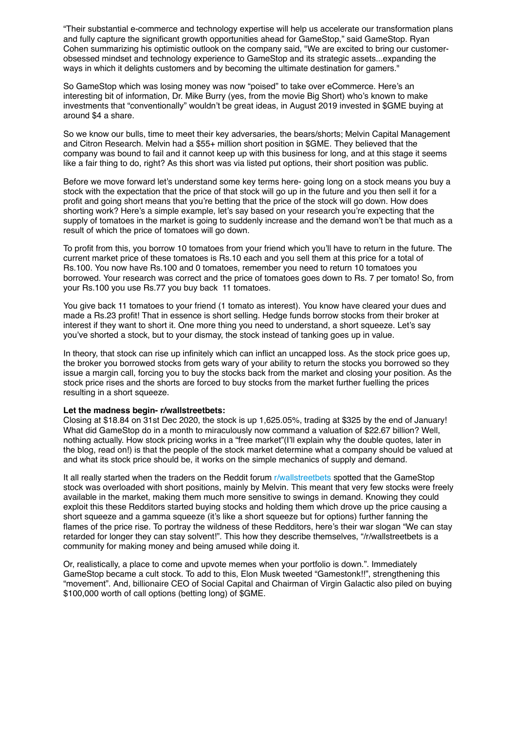"Their substantial e-commerce and technology expertise will help us accelerate our transformation plans and fully capture the significant growth opportunities ahead for GameStop," said GameStop. Ryan Cohen summarizing his optimistic outlook on the company said, "We are excited to bring our customerobsessed mindset and technology experience to GameStop and its strategic assets...expanding the ways in which it delights customers and by becoming the ultimate destination for gamers."

So GameStop which was losing money was now "poised" to take over eCommerce. Here's an interesting bit of information, Dr. Mike Burry (yes, from the movie Big Short) who's known to make investments that "conventionally" wouldn't be great ideas, in August 2019 invested in \$GME buying at around \$4 a share.

So we know our bulls, time to meet their key adversaries, the bears/shorts; Melvin Capital Management and Citron Research. Melvin had a \$55+ million short position in \$GME. They believed that the company was bound to fail and it cannot keep up with this business for long, and at this stage it seems like a fair thing to do, right? As this short was via listed put options, their short position was public.

Before we move forward let's understand some key terms here- going long on a stock means you buy a stock with the expectation that the price of that stock will go up in the future and you then sell it for a profit and going short means that you're betting that the price of the stock will go down. How does shorting work? Here's a simple example, let's say based on your research you're expecting that the supply of tomatoes in the market is going to suddenly increase and the demand won't be that much as a result of which the price of tomatoes will go down.

To profit from this, you borrow 10 tomatoes from your friend which you'll have to return in the future. The current market price of these tomatoes is Rs.10 each and you sell them at this price for a total of Rs.100. You now have Rs.100 and 0 tomatoes, remember you need to return 10 tomatoes you borrowed. Your research was correct and the price of tomatoes goes down to Rs. 7 per tomato! So, from your Rs.100 you use Rs.77 you buy back 11 tomatoes.

You give back 11 tomatoes to your friend (1 tomato as interest). You know have cleared your dues and made a Rs.23 profit! That in essence is short selling. Hedge funds borrow stocks from their broker at interest if they want to short it. One more thing you need to understand, a short squeeze. Let's say you've shorted a stock, but to your dismay, the stock instead of tanking goes up in value.

In theory, that stock can rise up infinitely which can inflict an uncapped loss. As the stock price goes up, the broker you borrowed stocks from gets wary of your ability to return the stocks you borrowed so they issue a margin call, forcing you to buy the stocks back from the market and closing your position. As the stock price rises and the shorts are forced to buy stocks from the market further fuelling the prices resulting in a short squeeze.

#### **Let the madness begin- r/wallstreetbets:**

Closing at \$18.84 on 31st Dec 2020, the stock is up 1,625.05%, trading at \$325 by the end of January! What did GameStop do in a month to miraculously now command a valuation of \$22.67 billion? Well, nothing actually. How stock pricing works in a "free market"(I'll explain why the double quotes, later in the blog, read on!) is that the people of the stock market determine what a company should be valued at and what its stock price should be, it works on the simple mechanics of supply and demand.

It all really started when the traders on the Reddit forum [r/wallstreetbets](https://www.reddit.com/r/wallstreetbets/) spotted that the GameStop stock was overloaded with short positions, mainly by Melvin. This meant that very few stocks were freely available in the market, making them much more sensitive to swings in demand. Knowing they could exploit this these Redditors started buying stocks and holding them which drove up the price causing a short squeeze and a gamma squeeze (it's like a short squeeze but for options) further fanning the flames of the price rise. To portray the wildness of these Redditors, here's their war slogan "We can stay retarded for longer they can stay solvent!". This how they describe themselves, "/r/wallstreetbets is a community for making money and being amused while doing it.

Or, realistically, a place to come and upvote memes when your portfolio is down.". Immediately GameStop became a cult stock. To add to this, Elon Musk tweeted "Gamestonk!!", strengthening this "movement". And, billionaire CEO of Social Capital and Chairman of Virgin Galactic also piled on buying \$100,000 worth of call options (betting long) of \$GME.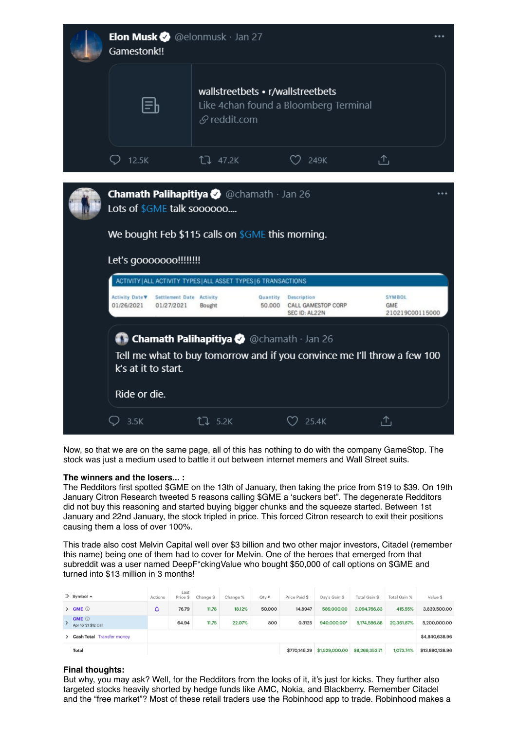

Now, so that we are on the same page, all of this has nothing to do with the company GameStop. The stock was just a medium used to battle it out between internet memers and Wall Street suits.

## **The winners and the losers... :**

The Redditors first spotted \$GME on the 13th of January, then taking the price from \$19 to \$39. On 19th January Citron Research tweeted 5 reasons calling \$GME a 'suckers bet". The degenerate Redditors did not buy this reasoning and started buying bigger chunks and the squeeze started. Between 1st January and 22nd January, the stock tripled in price. This forced Citron research to exit their positions causing them a loss of over 100%.

This trade also cost Melvin Capital well over \$3 billion and two other major investors, Citadel (remember this name) being one of them had to cover for Melvin. One of the heroes that emerged from that subreddit was a user named DeepF\*ckingValue who bought \$50,000 of call options on \$GME and turned into \$13 million in 3 months!

| $\gg$ Symbol $\triangle$             | Actions | Last<br>Price \$ | Change \$ | Change % | Qty#   | Price Paid \$ | Day's Gain \$  | Total Gain \$  | Total Gain % | Value \$        |
|--------------------------------------|---------|------------------|-----------|----------|--------|---------------|----------------|----------------|--------------|-----------------|
| $\angle$ GME $\odot$                 | ≏       | 76.79            | 11.78     | 18.12%   | 50,000 | 14.8947       | 589,000.00     | 3,094,766.83   | 415.55%      | 3,839,500,00    |
| <b>GME ①</b><br>Apr 16 '21 \$12 Call |         | 64.94            | 11.75     | 22.07%   | 800    | 0.3125        | 940,000.00*    | 5,174,586.88   | 20,361.87%   | 5,200,000.00    |
| > Cash Total Transfer money          |         |                  |           |          |        |               |                |                |              | \$4,840,638.96  |
| <b>Total</b>                         |         |                  |           |          |        | \$770,146.29  | \$1,529,000.00 | \$8,269,353.71 | 1,073.74%    | \$13,880,138.96 |

## **Final thoughts:**

But why, you may ask? Well, for the Redditors from the looks of it, it's just for kicks. They further also targeted stocks heavily shorted by hedge funds like AMC, Nokia, and Blackberry. Remember Citadel and the "free market"? Most of these retail traders use the Robinhood app to trade. Robinhood makes a